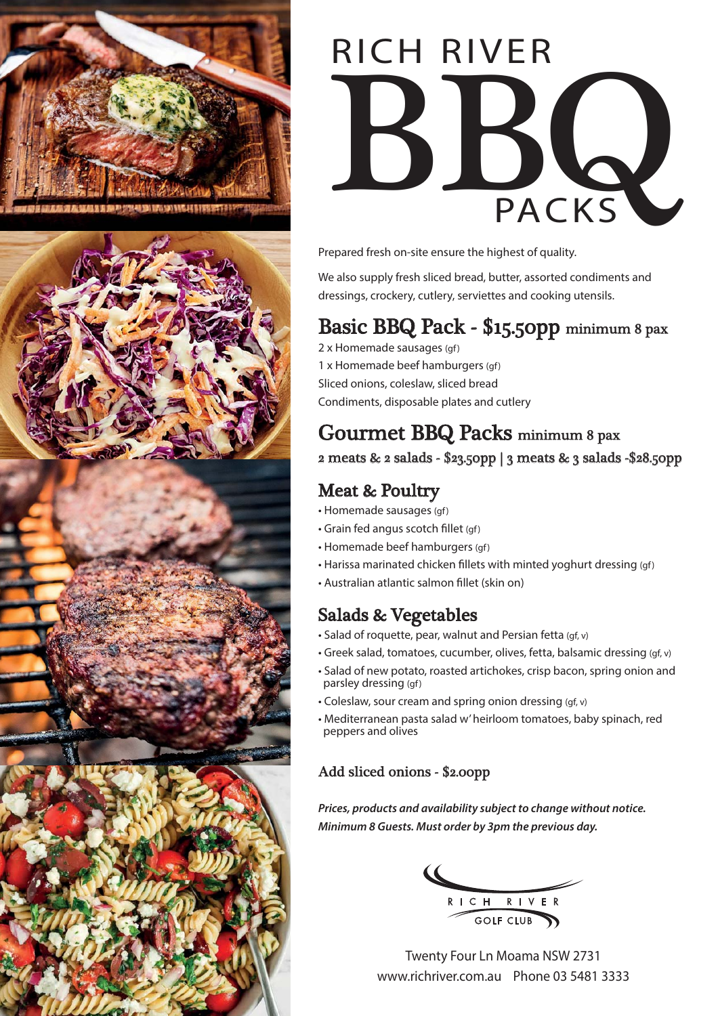



# BQQ<br>PACKS RICH RIVER

Prepared fresh on-site ensure the highest of quality.

We also supply fresh sliced bread, butter, assorted condiments and dressings, crockery, cutlery, serviettes and cooking utensils.

## Basic BBQ Pack - \$15.50pp minimum 8 pax

2 x Homemade sausages (gf) 1 x Homemade beef hamburgers (gf) Sliced onions, coleslaw, sliced bread Condiments, disposable plates and cutlery

# Gourmet BBQ Packs minimum 8 pax

2 meats & 2 salads - \$23.50pp | 3 meats & 3 salads -\$28.50pp

#### Meat & Poultry

- Homemade sausages (gf)
- Grain fed angus scotch fillet (gf)
- Homemade beef hamburgers (gf)
- Harissa marinated chicken fillets with minted yoghurt dressing (gf)
- Australian atlantic salmon fillet (skin on)

#### Salads & Vegetables

- Salad of roquette, pear, walnut and Persian fetta (gf, v)
- Greek salad, tomatoes, cucumber, olives, fetta, balsamic dressing (gf, v)
- Salad of new potato, roasted artichokes, crisp bacon, spring onion and parsley dressing (gf)
- Coleslaw, sour cream and spring onion dressing (gf, v)
- Mediterranean pasta salad w' heirloom tomatoes, baby spinach, red peppers and olives

#### Add sliced onions - \$2.00pp

*Prices, products and availability subject to change without notice. Minimum 8 Guests. Must order by 3pm the previous day.*

RICH RIVER<br>GOLF CLUB

Twenty Four Ln Moama NSW 2731 www.richriver.com.au Phone 03 5481 3333